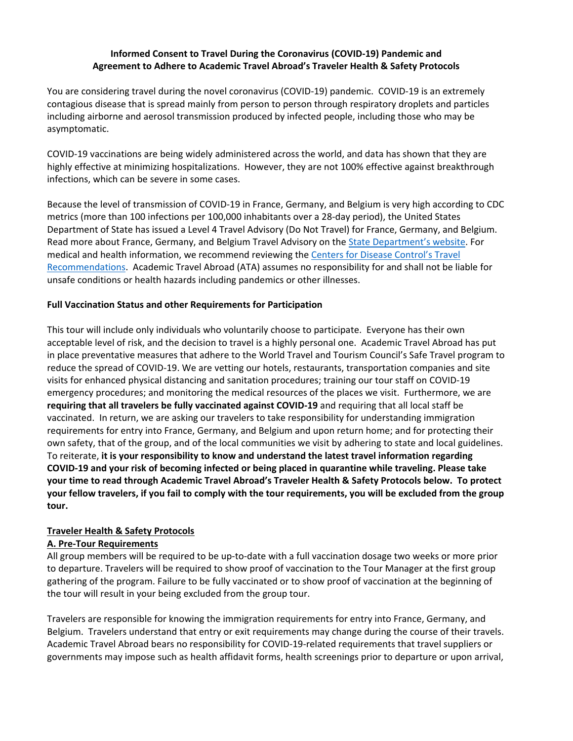### **Informed Consent to Travel During the Coronavirus (COVID‐19) Pandemic and Agreement to Adhere to Academic Travel Abroad's Traveler Health & Safety Protocols**

You are considering travel during the novel coronavirus (COVID‐19) pandemic. COVID‐19 is an extremely contagious disease that is spread mainly from person to person through respiratory droplets and particles including airborne and aerosol transmission produced by infected people, including those who may be asymptomatic.

COVID‐19 vaccinations are being widely administered across the world, and data has shown that they are highly effective at minimizing hospitalizations. However, they are not 100% effective against breakthrough infections, which can be severe in some cases.

Because the level of transmission of COVID‐19 in France, Germany, and Belgium is very high according to CDC metrics (more than 100 infections per 100,000 inhabitants over a 28‐day period), the United States Department of State has issued a Level 4 Travel Advisory (Do Not Travel) for France, Germany, and Belgium. Read more about France, Germany, and Belgium Travel Advisory on the State Department's website. For medical and health information, we recommend reviewing the Centers for Disease Control's Travel Recommendations. Academic Travel Abroad (ATA) assumes no responsibility for and shall not be liable for unsafe conditions or health hazards including pandemics or other illnesses.

### **Full Vaccination Status and other Requirements for Participation**

This tour will include only individuals who voluntarily choose to participate. Everyone has their own acceptable level of risk, and the decision to travel is a highly personal one. Academic Travel Abroad has put in place preventative measures that adhere to the World Travel and Tourism Council's Safe Travel program to reduce the spread of COVID‐19. We are vetting our hotels, restaurants, transportation companies and site visits for enhanced physical distancing and sanitation procedures; training our tour staff on COVID‐19 emergency procedures; and monitoring the medical resources of the places we visit. Furthermore, we are **requiring that all travelers be fully vaccinated against COVID‐19** and requiring that all local staff be vaccinated. In return, we are asking our travelers to take responsibility for understanding immigration requirements for entry into France, Germany, and Belgium and upon return home; and for protecting their own safety, that of the group, and of the local communities we visit by adhering to state and local guidelines. To reiterate, **it is your responsibility to know and understand the latest travel information regarding** COVID-19 and your risk of becoming infected or being placed in quarantine while traveling. Please take **your time to read through Academic Travel Abroad's Traveler Health & Safety Protocols below. To protect** your fellow travelers, if you fail to comply with the tour requirements, you will be excluded from the group **tour.** 

# **Traveler Health & Safety Protocols**

# **A. Pre‐Tour Requirements**

All group members will be required to be up-to-date with a full vaccination dosage two weeks or more prior to departure. Travelers will be required to show proof of vaccination to the Tour Manager at the first group gathering of the program. Failure to be fully vaccinated or to show proof of vaccination at the beginning of the tour will result in your being excluded from the group tour.

Travelers are responsible for knowing the immigration requirements for entry into France, Germany, and Belgium. Travelers understand that entry or exit requirements may change during the course of their travels. Academic Travel Abroad bears no responsibility for COVID‐19‐related requirements that travel suppliers or governments may impose such as health affidavit forms, health screenings prior to departure or upon arrival,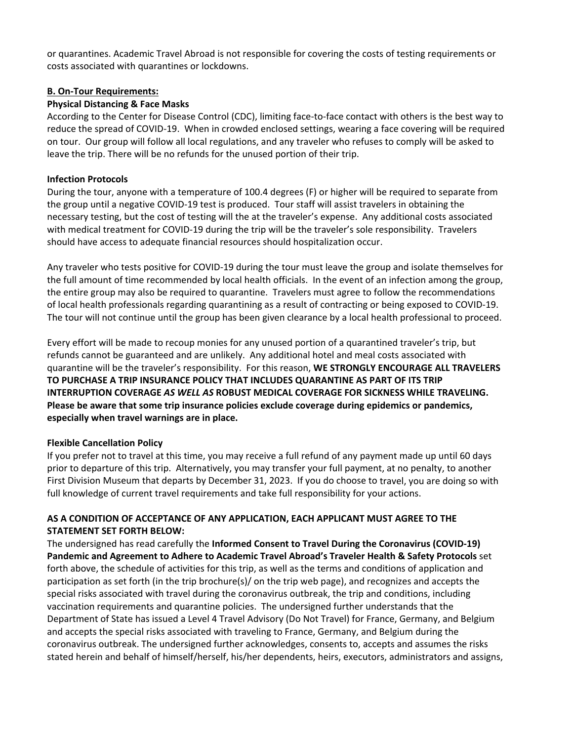or quarantines. Academic Travel Abroad is not responsible for covering the costs of testing requirements or costs associated with quarantines or lockdowns.

#### **B. On‐Tour Requirements:**

### **Physical Distancing & Face Masks**

According to the Center for Disease Control (CDC), limiting face‐to‐face contact with others is the best way to reduce the spread of COVID‐19. When in crowded enclosed settings, wearing a face covering will be required on tour. Our group will follow all local regulations, and any traveler who refuses to comply will be asked to leave the trip. There will be no refunds for the unused portion of their trip.

### **Infection Protocols**

During the tour, anyone with a temperature of 100.4 degrees (F) or higher will be required to separate from the group until a negative COVID‐19 test is produced. Tour staff will assist travelers in obtaining the necessary testing, but the cost of testing will the at the traveler's expense. Any additional costs associated with medical treatment for COVID-19 during the trip will be the traveler's sole responsibility. Travelers should have access to adequate financial resources should hospitalization occur.

Any traveler who tests positive for COVID‐19 during the tour must leave the group and isolate themselves for the full amount of time recommended by local health officials. In the event of an infection among the group, the entire group may also be required to quarantine. Travelers must agree to follow the recommendations of local health professionals regarding quarantining as a result of contracting or being exposed to COVID‐19. The tour will not continue until the group has been given clearance by a local health professional to proceed.

Every effort will be made to recoup monies for any unused portion of a quarantined traveler's trip, but refunds cannot be guaranteed and are unlikely. Any additional hotel and meal costs associated with quarantine will be the traveler's responsibility. For this reason, **WE STRONGLY ENCOURAGE ALL TRAVELERS TO PURCHASE A TRIP INSURANCE POLICY THAT INCLUDES QUARANTINE AS PART OF ITS TRIP INTERRUPTION COVERAGE** *AS WELL AS* **ROBUST MEDICAL COVERAGE FOR SICKNESS WHILE TRAVELING. Please be aware that some trip insurance policies exclude coverage during epidemics or pandemics, especially when travel warnings are in place.** 

# **Flexible Cancellation Policy**

If you prefer not to travel at this time, you may receive a full refund of any payment made up until 60 days prior to departure of this trip. Alternatively, you may transfer your full payment, at no penalty, to another First Division Museum that departs by December 31, 2023. If you do choose to travel, you are doing so with full knowledge of current travel requirements and take full responsibility for your actions.

# **AS A CONDITION OF ACCEPTANCE OF ANY APPLICATION, EACH APPLICANT MUST AGREE TO THE STATEMENT SET FORTH BELOW:**

The undersigned has read carefully the **Informed Consent to Travel During the Coronavirus (COVID‐19) Pandemic and Agreement to Adhere to Academic Travel Abroad's Traveler Health & Safety Protocols** set forth above, the schedule of activities for this trip, as well as the terms and conditions of application and participation as set forth (in the trip brochure(s)/ on the trip web page), and recognizes and accepts the special risks associated with travel during the coronavirus outbreak, the trip and conditions, including vaccination requirements and quarantine policies. The undersigned further understands that the Department of State has issued a Level 4 Travel Advisory (Do Not Travel) for France, Germany, and Belgium and accepts the special risks associated with traveling to France, Germany, and Belgium during the coronavirus outbreak. The undersigned further acknowledges, consents to, accepts and assumes the risks stated herein and behalf of himself/herself, his/her dependents, heirs, executors, administrators and assigns,